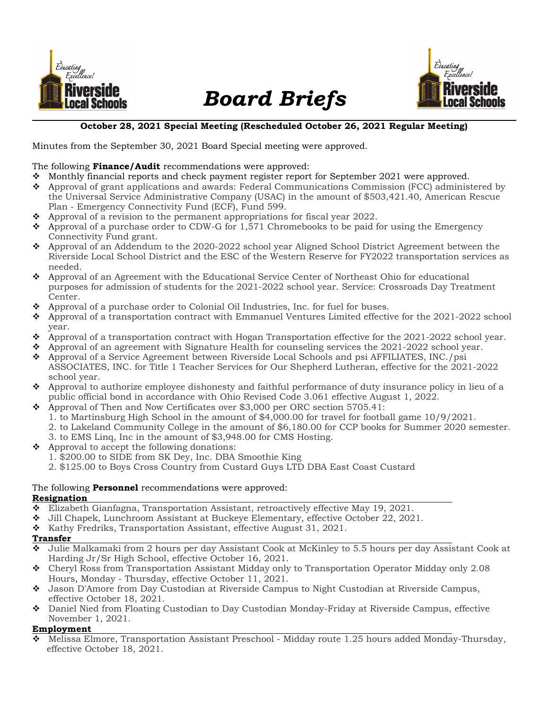

# Board Briefs



# October 28, 2021 Special Meeting (Rescheduled October 26, 2021 Regular Meeting)

Minutes from the September 30, 2021 Board Special meeting were approved.

## The following **Finance/Audit** recommendations were approved:

- Monthly financial reports and check payment register report for September 2021 were approved.
- Approval of grant applications and awards: Federal Communications Commission (FCC) administered by the Universal Service Administrative Company (USAC) in the amount of \$503,421.40, American Rescue Plan - Emergency Connectivity Fund (ECF), Fund 599.
- $\bullet$  Approval of a revision to the permanent appropriations for fiscal year 2022.
- $\bullet$  Approval of a purchase order to CDW-G for 1,571 Chromebooks to be paid for using the Emergency Connectivity Fund grant.
- Approval of an Addendum to the 2020-2022 school year Aligned School District Agreement between the Riverside Local School District and the ESC of the Western Reserve for FY2022 transportation services as needed.
- Approval of an Agreement with the Educational Service Center of Northeast Ohio for educational purposes for admission of students for the 2021-2022 school year. Service: Crossroads Day Treatment Center.
- Approval of a purchase order to Colonial Oil Industries, Inc. for fuel for buses.
- Approval of a transportation contract with Emmanuel Ventures Limited effective for the 2021-2022 school year.
- $\bullet$  Approval of a transportation contract with Hogan Transportation effective for the 2021-2022 school year.
- $\bullet$  Approval of an agreement with Signature Health for counseling services the 2021-2022 school year.
- Approval of a Service Agreement between Riverside Local Schools and psi AFFILIATES, INC./psi ASSOCIATES, INC. for Title 1 Teacher Services for Our Shepherd Lutheran, effective for the 2021-2022 school year.
- Approval to authorize employee dishonesty and faithful performance of duty insurance policy in lieu of a public official bond in accordance with Ohio Revised Code 3.061 effective August 1, 2022.
- Approval of Then and Now Certificates over \$3,000 per ORC section 5705.41:
	- 1. to Martinsburg High School in the amount of \$4,000.00 for travel for football game 10/9/2021.
	- 2. to Lakeland Community College in the amount of \$6,180.00 for CCP books for Summer 2020 semester.
	- 3. to EMS Linq, Inc in the amount of \$3,948.00 for CMS Hosting.
- $\triangleleft$  Approval to accept the following donations:
	- 1. \$200.00 to SIDE from SK Dey, Inc. DBA Smoothie King
	- 2. \$125.00 to Boys Cross Country from Custard Guys LTD DBA East Coast Custard

## The following **Personnel** recommendations were approved: Resignation

- Elizabeth Gianfagna, Transportation Assistant, retroactively effective May 19, 2021.
- Jill Chapek, Lunchroom Assistant at Buckeye Elementary, effective October 22, 2021.
- $\bullet$  Kathy Fredriks, Transportation Assistant, effective August 31, 2021.

#### Transfer

- Julie Malkamaki from 2 hours per day Assistant Cook at McKinley to 5.5 hours per day Assistant Cook at Harding Jr/Sr High School, effective October 16, 2021.
- Cheryl Ross from Transportation Assistant Midday only to Transportation Operator Midday only 2.08 Hours, Monday - Thursday, effective October 11, 2021.
- Jason D'Amore from Day Custodian at Riverside Campus to Night Custodian at Riverside Campus, effective October 18, 2021.
- Daniel Nied from Floating Custodian to Day Custodian Monday-Friday at Riverside Campus, effective November 1, 2021.

## Employment

 Melissa Elmore, Transportation Assistant Preschool - Midday route 1.25 hours added Monday-Thursday, effective October 18, 2021.